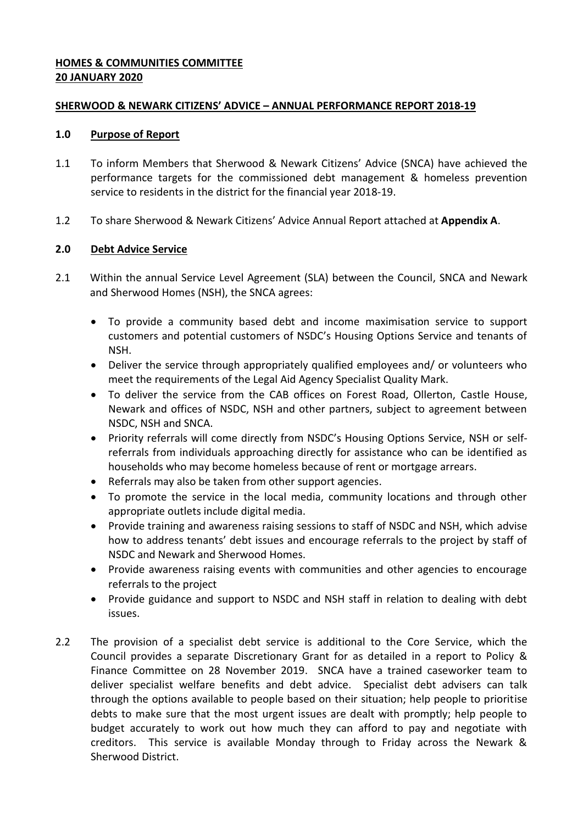## **HOMES & COMMUNITIES COMMITTEE 20 JANUARY 2020**

## **SHERWOOD & NEWARK CITIZENS' ADVICE – ANNUAL PERFORMANCE REPORT 2018-19**

#### **1.0 Purpose of Report**

- 1.1 To inform Members that Sherwood & Newark Citizens' Advice (SNCA) have achieved the performance targets for the commissioned debt management & homeless prevention service to residents in the district for the financial year 2018-19.
- 1.2 To share Sherwood & Newark Citizens' Advice Annual Report attached at **Appendix A**.

# **2.0 Debt Advice Service**

- 2.1 Within the annual Service Level Agreement (SLA) between the Council, SNCA and Newark and Sherwood Homes (NSH), the SNCA agrees:
	- To provide a community based debt and income maximisation service to support customers and potential customers of NSDC's Housing Options Service and tenants of NSH.
	- Deliver the service through appropriately qualified employees and/ or volunteers who meet the requirements of the Legal Aid Agency Specialist Quality Mark.
	- To deliver the service from the CAB offices on Forest Road, Ollerton, Castle House, Newark and offices of NSDC, NSH and other partners, subject to agreement between NSDC, NSH and SNCA.
	- Priority referrals will come directly from NSDC's Housing Options Service, NSH or selfreferrals from individuals approaching directly for assistance who can be identified as households who may become homeless because of rent or mortgage arrears.
	- Referrals may also be taken from other support agencies.
	- To promote the service in the local media, community locations and through other appropriate outlets include digital media.
	- Provide training and awareness raising sessions to staff of NSDC and NSH, which advise how to address tenants' debt issues and encourage referrals to the project by staff of NSDC and Newark and Sherwood Homes.
	- Provide awareness raising events with communities and other agencies to encourage referrals to the project
	- Provide guidance and support to NSDC and NSH staff in relation to dealing with debt issues.
- 2.2 The provision of a specialist debt service is additional to the Core Service, which the Council provides a separate Discretionary Grant for as detailed in a report to Policy & Finance Committee on 28 November 2019. SNCA have a trained caseworker team to deliver specialist welfare benefits and debt advice. Specialist debt advisers can talk through the options available to people based on their situation; help people to prioritise debts to make sure that the most urgent issues are dealt with promptly; help people to budget accurately to work out how much they can afford to pay and negotiate with creditors. This service is available Monday through to Friday across the Newark & Sherwood District.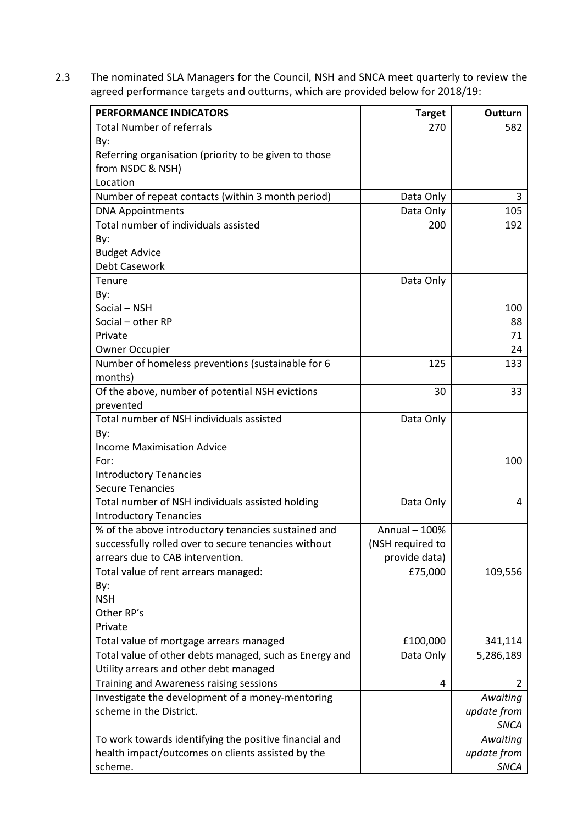2.3 The nominated SLA Managers for the Council, NSH and SNCA meet quarterly to review the agreed performance targets and outturns, which are provided below for 2018/19:

| <b>PERFORMANCE INDICATORS</b>                          | <b>Target</b>    | Outturn     |
|--------------------------------------------------------|------------------|-------------|
| <b>Total Number of referrals</b>                       | 270              | 582         |
| By:                                                    |                  |             |
| Referring organisation (priority to be given to those  |                  |             |
| from NSDC & NSH)                                       |                  |             |
| Location                                               |                  |             |
| Number of repeat contacts (within 3 month period)      | Data Only        | 3           |
| <b>DNA Appointments</b>                                | Data Only        | 105         |
| Total number of individuals assisted                   | 200              | 192         |
| By:                                                    |                  |             |
| <b>Budget Advice</b>                                   |                  |             |
| Debt Casework                                          |                  |             |
| Tenure                                                 | Data Only        |             |
| By:                                                    |                  |             |
| Social - NSH                                           |                  | 100         |
| Social - other RP                                      |                  | 88          |
| Private                                                |                  | 71          |
| <b>Owner Occupier</b>                                  |                  | 24          |
| Number of homeless preventions (sustainable for 6      | 125              | 133         |
| months)                                                |                  |             |
| Of the above, number of potential NSH evictions        | 30               | 33          |
| prevented                                              |                  |             |
| Total number of NSH individuals assisted               | Data Only        |             |
| By:                                                    |                  |             |
| <b>Income Maximisation Advice</b>                      |                  |             |
| For:                                                   |                  | 100         |
| <b>Introductory Tenancies</b>                          |                  |             |
| <b>Secure Tenancies</b>                                |                  |             |
| Total number of NSH individuals assisted holding       | Data Only        | 4           |
| <b>Introductory Tenancies</b>                          |                  |             |
| % of the above introductory tenancies sustained and    | Annual - 100%    |             |
| successfully rolled over to secure tenancies without   | (NSH required to |             |
| arrears due to CAB intervention.                       | provide data)    |             |
| Total value of rent arrears managed:                   | £75,000          | 109,556     |
| By:                                                    |                  |             |
| <b>NSH</b>                                             |                  |             |
| Other RP's                                             |                  |             |
| Private                                                |                  |             |
| Total value of mortgage arrears managed                | £100,000         | 341,114     |
| Total value of other debts managed, such as Energy and | Data Only        | 5,286,189   |
| Utility arrears and other debt managed                 |                  |             |
| Training and Awareness raising sessions                | 4                | 2           |
| Investigate the development of a money-mentoring       |                  | Awaiting    |
| scheme in the District.                                |                  | update from |
|                                                        |                  | <b>SNCA</b> |
| To work towards identifying the positive financial and |                  | Awaiting    |
| health impact/outcomes on clients assisted by the      |                  | update from |
| scheme.                                                |                  | SNCA        |